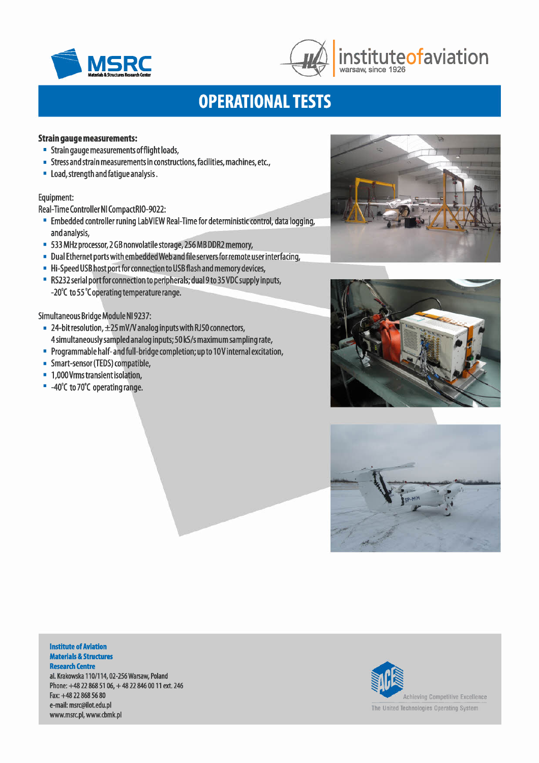



## **MSRC** instituteofaviation warsaw, since 1926

# **OPERATIONAL TESTS**

### Strain gauge measurements:

- Strain gauge measurements offlight loads,
- Stressand strain measurements in constructions, facilities, machines, etc.,
- load, strength and fatigue analysis.

### Equipment:

Real-Time Controller NI CompactRIO-9022:

- Embedded controller runing labVIEW Real-Time for deterministic control, data logging, and analysis,
- 533 MHz processor, 2 GBnonvolatile storage, 256 MB DDR2memory,
- Dual Ethernet ports with embedded Web and file servers for remote user interfacing,
- Hi-Speed USB host port for connection to USB flash and memory devices,
- RS232serial portforconnection to peripherals; dual9 to 35VD(supply inputs, -20°C to 55°C operating temperature range.

### Simultaneous Bridge Module N19237:

- 24-bit resolution, ±25 mV*N* analog inputs with RJ50connectors, 4simultaneously sampled analog inputs; 50 kS/s maximum sampling rate,
- Programmable half- and full-bridge completion; up to 1OVinternal excitation,
- Smart-sensor (TEDS) compatible,
- 1,000Vrms transient isolation,
- $-40^{\circ}$ C to 70 $^{\circ}$ C operating range.







#### Institute of Aviation Materials & Structures **Research Centre**

al. Krakowska 110/114,02-256 Warsaw, Poland Phone: +48 22 868 51 06, +48 22 846 00 11 ext. 246 Fax:+48 22 868 56 80 e-mail: [msrc@ilot.edu.pl](mailto:msrc@ilot.edu.pl) [www.msrc.pl,](http://www.msrc.pl,) [www.cbmk.pl](http://www.cbmk.pl)